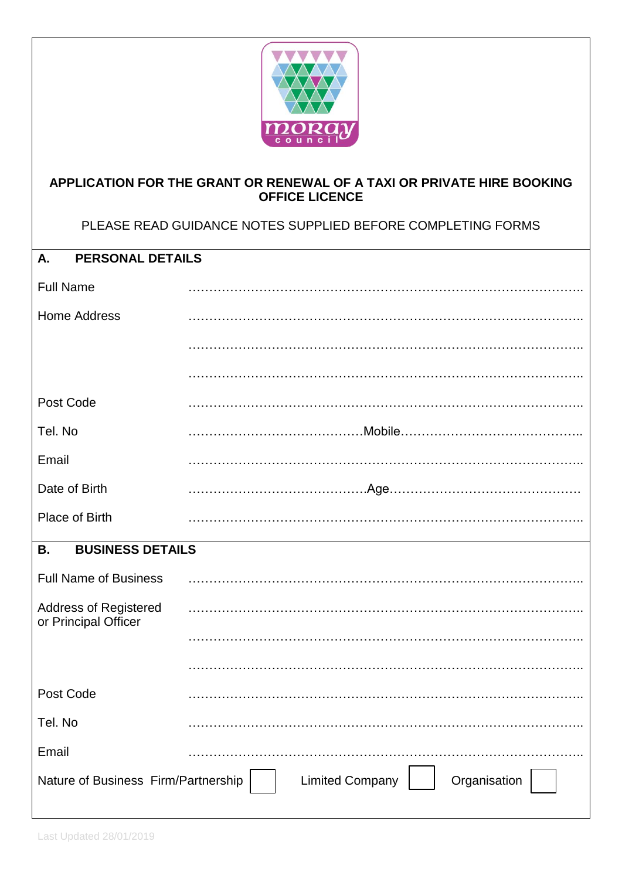

### **APPLICATION FOR THE GRANT OR RENEWAL OF A TAXI OR PRIVATE HIRE BOOKING OFFICE LICENCE**

PLEASE READ GUIDANCE NOTES SUPPLIED BEFORE COMPLETING FORMS

| PERSONAL DETAILS<br>А.                               |                                        |
|------------------------------------------------------|----------------------------------------|
| <b>Full Name</b>                                     |                                        |
| <b>Home Address</b>                                  |                                        |
|                                                      |                                        |
|                                                      |                                        |
| Post Code                                            |                                        |
| Tel. No                                              |                                        |
| Email                                                |                                        |
| Date of Birth                                        |                                        |
| Place of Birth                                       |                                        |
| <b>BUSINESS DETAILS</b><br><b>B.</b>                 |                                        |
| <b>Full Name of Business</b>                         |                                        |
| <b>Address of Registered</b><br>or Principal Officer |                                        |
|                                                      |                                        |
|                                                      |                                        |
| Post Code                                            |                                        |
| Tel. No                                              |                                        |
| Email                                                |                                        |
| Nature of Business Firm/Partnership                  | <b>Limited Company</b><br>Organisation |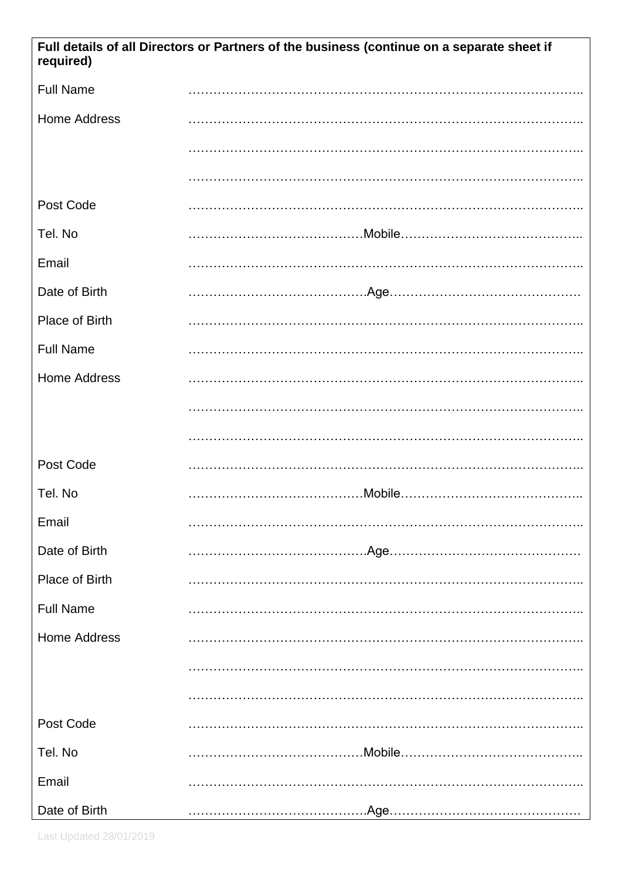| Full details of all Directors or Partners of the business (continue on a separate sheet if<br>required) |  |  |
|---------------------------------------------------------------------------------------------------------|--|--|
| <b>Full Name</b>                                                                                        |  |  |
| <b>Home Address</b>                                                                                     |  |  |
|                                                                                                         |  |  |
|                                                                                                         |  |  |
| Post Code                                                                                               |  |  |
| Tel. No                                                                                                 |  |  |
| Email                                                                                                   |  |  |
| Date of Birth                                                                                           |  |  |
| Place of Birth                                                                                          |  |  |
| <b>Full Name</b>                                                                                        |  |  |
| <b>Home Address</b>                                                                                     |  |  |
|                                                                                                         |  |  |
|                                                                                                         |  |  |
| Post Code                                                                                               |  |  |
| Tel. No                                                                                                 |  |  |
| Email                                                                                                   |  |  |
| Date of Birth                                                                                           |  |  |
| Place of Birth                                                                                          |  |  |
| <b>Full Name</b>                                                                                        |  |  |
| <b>Home Address</b>                                                                                     |  |  |
|                                                                                                         |  |  |
|                                                                                                         |  |  |
| Post Code                                                                                               |  |  |
| Tel. No                                                                                                 |  |  |
| Email                                                                                                   |  |  |
| Date of Birth                                                                                           |  |  |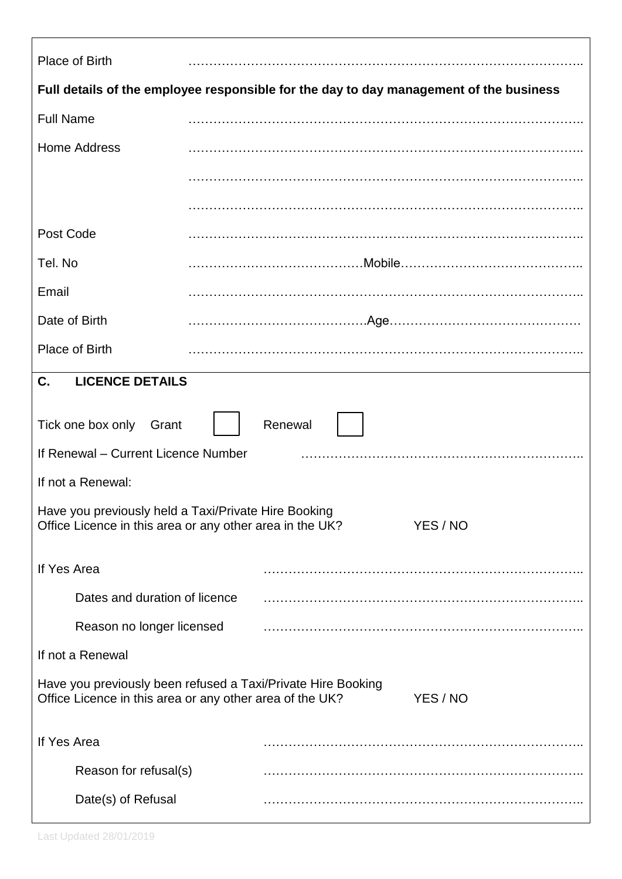| Place of Birth                                                                                                                       |                                                                                        |
|--------------------------------------------------------------------------------------------------------------------------------------|----------------------------------------------------------------------------------------|
|                                                                                                                                      | Full details of the employee responsible for the day to day management of the business |
| <b>Full Name</b>                                                                                                                     |                                                                                        |
| <b>Home Address</b>                                                                                                                  |                                                                                        |
|                                                                                                                                      |                                                                                        |
|                                                                                                                                      |                                                                                        |
| Post Code                                                                                                                            |                                                                                        |
| Tel. No                                                                                                                              |                                                                                        |
| Email                                                                                                                                |                                                                                        |
| Date of Birth                                                                                                                        |                                                                                        |
| Place of Birth                                                                                                                       |                                                                                        |
| <b>LICENCE DETAILS</b><br>C.                                                                                                         |                                                                                        |
| Tick one box only Grant<br>If Renewal - Current Licence Number                                                                       | Renewal                                                                                |
| If not a Renewal:                                                                                                                    |                                                                                        |
| Have you previously held a Taxi/Private Hire Booking<br>YES / NO<br>Office Licence in this area or any other area in the UK?         |                                                                                        |
| If Yes Area                                                                                                                          |                                                                                        |
| Dates and duration of licence                                                                                                        |                                                                                        |
| Reason no longer licensed                                                                                                            |                                                                                        |
| If not a Renewal                                                                                                                     |                                                                                        |
| Have you previously been refused a Taxi/Private Hire Booking<br>Office Licence in this area or any other area of the UK?<br>YES / NO |                                                                                        |
| If Yes Area                                                                                                                          |                                                                                        |
| Reason for refusal(s)                                                                                                                |                                                                                        |
| Date(s) of Refusal                                                                                                                   |                                                                                        |

 $\overline{1}$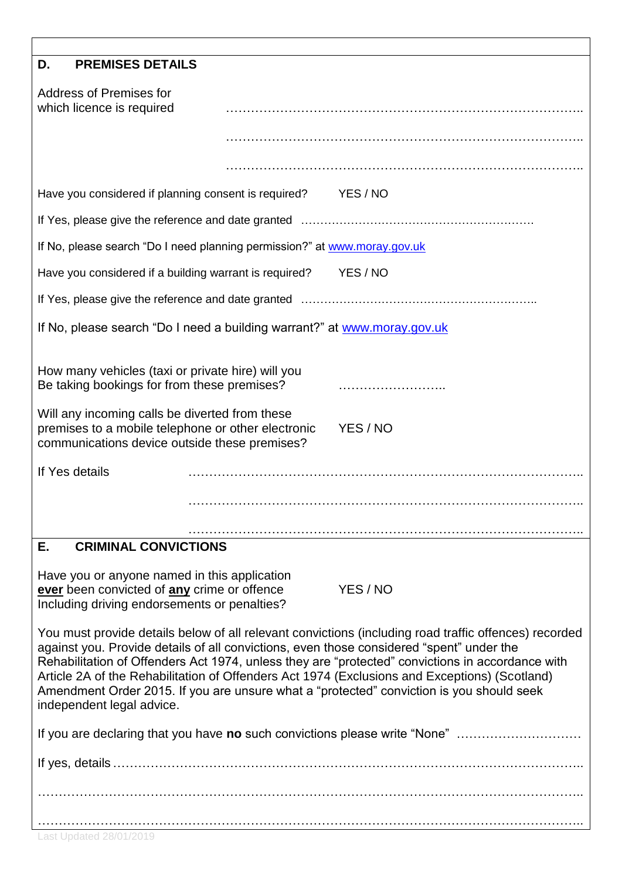| D.<br><b>PREMISES DETAILS</b>                                                                                                                                                                                                                                                                                                                                                                                                                                                                                                   |  |                                                                            |
|---------------------------------------------------------------------------------------------------------------------------------------------------------------------------------------------------------------------------------------------------------------------------------------------------------------------------------------------------------------------------------------------------------------------------------------------------------------------------------------------------------------------------------|--|----------------------------------------------------------------------------|
| Address of Premises for<br>which licence is required                                                                                                                                                                                                                                                                                                                                                                                                                                                                            |  |                                                                            |
|                                                                                                                                                                                                                                                                                                                                                                                                                                                                                                                                 |  |                                                                            |
|                                                                                                                                                                                                                                                                                                                                                                                                                                                                                                                                 |  |                                                                            |
| Have you considered if planning consent is required?                                                                                                                                                                                                                                                                                                                                                                                                                                                                            |  | YES / NO                                                                   |
|                                                                                                                                                                                                                                                                                                                                                                                                                                                                                                                                 |  |                                                                            |
| If No, please search "Do I need planning permission?" at www.moray.gov.uk                                                                                                                                                                                                                                                                                                                                                                                                                                                       |  |                                                                            |
| Have you considered if a building warrant is required?                                                                                                                                                                                                                                                                                                                                                                                                                                                                          |  | YES / NO                                                                   |
|                                                                                                                                                                                                                                                                                                                                                                                                                                                                                                                                 |  |                                                                            |
| If No, please search "Do I need a building warrant?" at www.moray.gov.uk                                                                                                                                                                                                                                                                                                                                                                                                                                                        |  |                                                                            |
| How many vehicles (taxi or private hire) will you<br>Be taking bookings for from these premises?                                                                                                                                                                                                                                                                                                                                                                                                                                |  |                                                                            |
| Will any incoming calls be diverted from these<br>premises to a mobile telephone or other electronic<br>communications device outside these premises?                                                                                                                                                                                                                                                                                                                                                                           |  | YES / NO                                                                   |
| If Yes details                                                                                                                                                                                                                                                                                                                                                                                                                                                                                                                  |  |                                                                            |
|                                                                                                                                                                                                                                                                                                                                                                                                                                                                                                                                 |  |                                                                            |
|                                                                                                                                                                                                                                                                                                                                                                                                                                                                                                                                 |  |                                                                            |
| Е.<br><b>CRIMINAL CONVICTIONS</b>                                                                                                                                                                                                                                                                                                                                                                                                                                                                                               |  |                                                                            |
| Have you or anyone named in this application<br>ever been convicted of any crime or offence<br>Including driving endorsements or penalties?                                                                                                                                                                                                                                                                                                                                                                                     |  | YES / NO                                                                   |
| You must provide details below of all relevant convictions (including road traffic offences) recorded<br>against you. Provide details of all convictions, even those considered "spent" under the<br>Rehabilitation of Offenders Act 1974, unless they are "protected" convictions in accordance with<br>Article 2A of the Rehabilitation of Offenders Act 1974 (Exclusions and Exceptions) (Scotland)<br>Amendment Order 2015. If you are unsure what a "protected" conviction is you should seek<br>independent legal advice. |  |                                                                            |
|                                                                                                                                                                                                                                                                                                                                                                                                                                                                                                                                 |  | If you are declaring that you have no such convictions please write "None" |
|                                                                                                                                                                                                                                                                                                                                                                                                                                                                                                                                 |  |                                                                            |
|                                                                                                                                                                                                                                                                                                                                                                                                                                                                                                                                 |  |                                                                            |
|                                                                                                                                                                                                                                                                                                                                                                                                                                                                                                                                 |  |                                                                            |

Last Updated 28/01/2019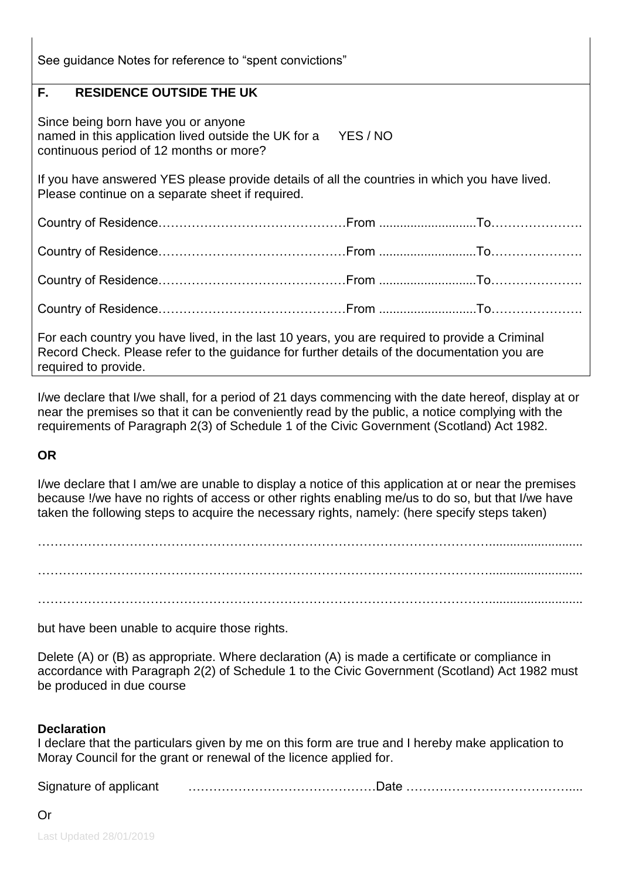See guidance Notes for reference to "spent convictions"

### **F. RESIDENCE OUTSIDE THE UK**

Since being born have you or anyone named in this application lived outside the UK for a YES / NO continuous period of 12 months or more?

If you have answered YES please provide details of all the countries in which you have lived. Please continue on a separate sheet if required.

For each country you have lived, in the last 10 years, you are required to provide a Criminal Record Check. Please refer to the guidance for further details of the documentation you are required to provide.

I/we declare that I/we shall, for a period of 21 days commencing with the date hereof, display at or near the premises so that it can be conveniently read by the public, a notice complying with the requirements of Paragraph 2(3) of Schedule 1 of the Civic Government (Scotland) Act 1982.

### **OR**

I/we declare that I am/we are unable to display a notice of this application at or near the premises because !/we have no rights of access or other rights enabling me/us to do so, but that I/we have taken the following steps to acquire the necessary rights, namely: (here specify steps taken)

………………………………………………………………………………………………........................... ………………………………………………………………………………………………........................... ………………………………………………………………………………………………...........................

but have been unable to acquire those rights.

Delete (A) or (B) as appropriate. Where declaration (A) is made a certificate or compliance in accordance with Paragraph 2(2) of Schedule 1 to the Civic Government (Scotland) Act 1982 must be produced in due course

#### **Declaration**

I declare that the particulars given by me on this form are true and I hereby make application to Moray Council for the grant or renewal of the licence applied for.

Signature of applicant music music music music music music music music music music music music music music music music music music music music music music music music music music music music music music music music music m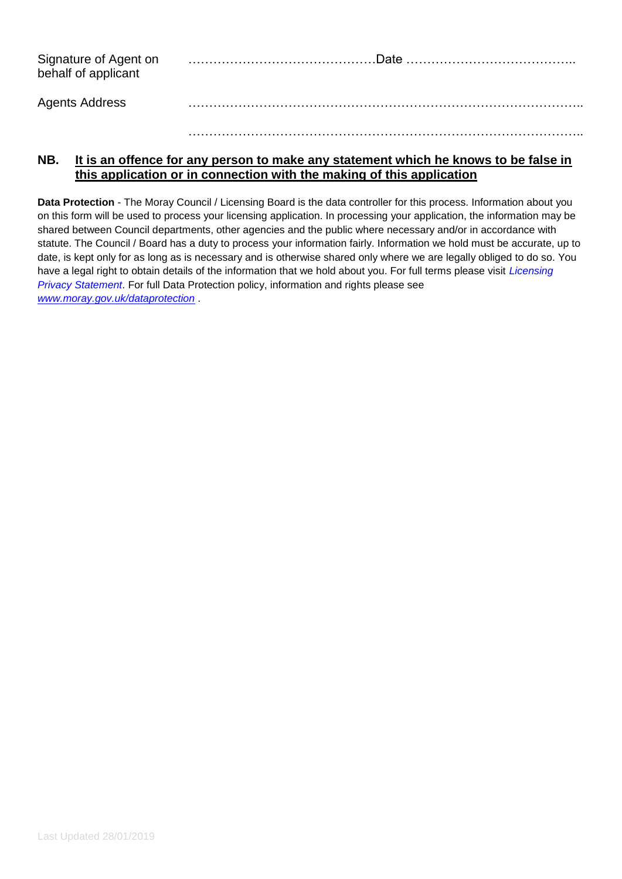| Signature of Agent on<br>behalf of applicant |  |
|----------------------------------------------|--|
| <b>Agents Address</b>                        |  |

…………………………………………………………………………………..

#### **NB. It is an offence for any person to make any statement which he knows to be false in this application or in connection with the making of this application**

**Data Protection** - The Moray Council / Licensing Board is the data controller for this process. Information about you on this form will be used to process your licensing application. In processing your application, the information may be shared between Council departments, other agencies and the public where necessary and/or in accordance with statute. The Council / Board has a duty to process your information fairly. Information we hold must be accurate, up to date, is kept only for as long as is necessary and is otherwise shared only where we are legally obliged to do so. You have a legal right to obtain details of the information that we hold about you. For full terms please visit *Licensing Privacy Statement*. For full Data Protection policy, information and rights please see *[www.moray.gov.uk/dataprotection](http://www.moray.gov.uk/dataprotection)* .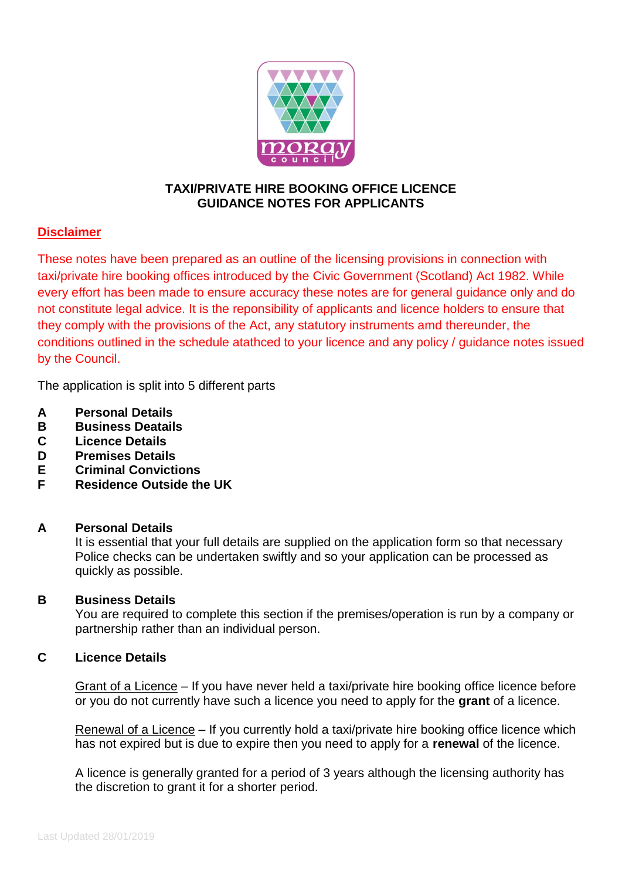

#### **TAXI/PRIVATE HIRE BOOKING OFFICE LICENCE GUIDANCE NOTES FOR APPLICANTS**

#### **Disclaimer**

These notes have been prepared as an outline of the licensing provisions in connection with taxi/private hire booking offices introduced by the Civic Government (Scotland) Act 1982. While every effort has been made to ensure accuracy these notes are for general guidance only and do not constitute legal advice. It is the reponsibility of applicants and licence holders to ensure that they comply with the provisions of the Act, any statutory instruments amd thereunder, the conditions outlined in the schedule atathced to your licence and any policy / guidance notes issued by the Council.

The application is split into 5 different parts

- **A Personal Details**
- **B Business Deatails**
- **C Licence Details**
- **D Premises Details**
- **E Criminal Convictions**
- **F Residence Outside the UK**

#### **A Personal Details**

It is essential that your full details are supplied on the application form so that necessary Police checks can be undertaken swiftly and so your application can be processed as quickly as possible.

#### **B Business Details**

You are required to complete this section if the premises/operation is run by a company or partnership rather than an individual person.

#### **C Licence Details**

Grant of a Licence – If you have never held a taxi/private hire booking office licence before or you do not currently have such a licence you need to apply for the **grant** of a licence.

Renewal of a Licence – If you currently hold a taxi/private hire booking office licence which has not expired but is due to expire then you need to apply for a **renewal** of the licence.

A licence is generally granted for a period of 3 years although the licensing authority has the discretion to grant it for a shorter period.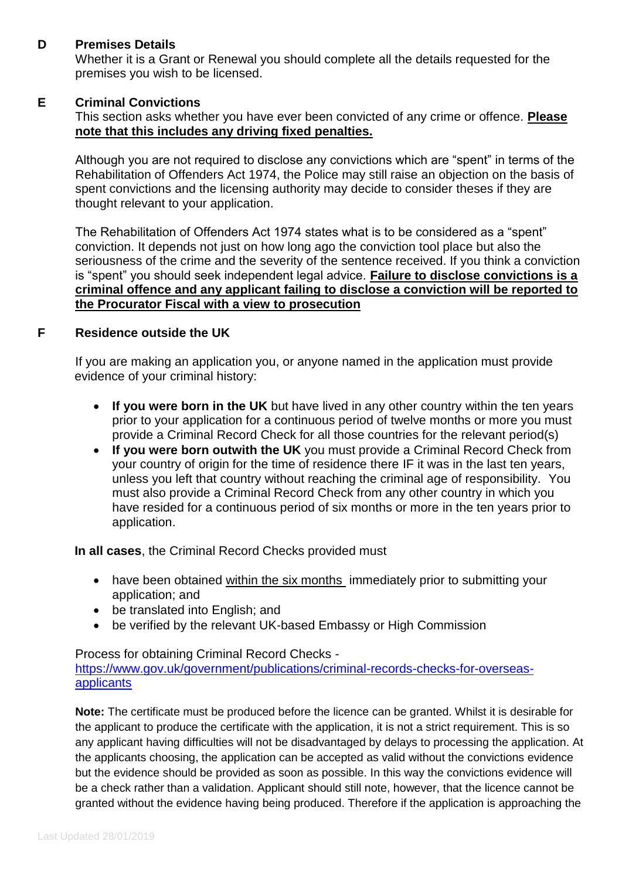#### **D Premises Details**

Whether it is a Grant or Renewal you should complete all the details requested for the premises you wish to be licensed.

#### **E Criminal Convictions**

This section asks whether you have ever been convicted of any crime or offence. **Please note that this includes any driving fixed penalties.**

Although you are not required to disclose any convictions which are "spent" in terms of the Rehabilitation of Offenders Act 1974, the Police may still raise an objection on the basis of spent convictions and the licensing authority may decide to consider theses if they are thought relevant to your application.

The Rehabilitation of Offenders Act 1974 states what is to be considered as a "spent" conviction. It depends not just on how long ago the conviction tool place but also the seriousness of the crime and the severity of the sentence received. If you think a conviction is "spent" you should seek independent legal advice. **Failure to disclose convictions is a criminal offence and any applicant failing to disclose a conviction will be reported to the Procurator Fiscal with a view to prosecution**

#### **F Residence outside the UK**

If you are making an application you, or anyone named in the application must provide evidence of your criminal history:

- **If you were born in the UK** but have lived in any other country within the ten years prior to your application for a continuous period of twelve months or more you must provide a Criminal Record Check for all those countries for the relevant period(s)
- **If you were born outwith the UK** you must provide a Criminal Record Check from your country of origin for the time of residence there IF it was in the last ten years, unless you left that country without reaching the criminal age of responsibility. You must also provide a Criminal Record Check from any other country in which you have resided for a continuous period of six months or more in the ten years prior to application.

**In all cases**, the Criminal Record Checks provided must

- have been obtained within the six months immediately prior to submitting your application; and
- be translated into English; and
- be verified by the relevant UK-based Embassy or High Commission

Process for obtaining Criminal Record Checks -

[https://www.gov.uk/government/publications/criminal-records-checks-for-overseas](https://www.gov.uk/government/publications/criminal-records-checks-for-overseas-applicants)[applicants](https://www.gov.uk/government/publications/criminal-records-checks-for-overseas-applicants)

**Note:** The certificate must be produced before the licence can be granted. Whilst it is desirable for the applicant to produce the certificate with the application, it is not a strict requirement. This is so any applicant having difficulties will not be disadvantaged by delays to processing the application. At the applicants choosing, the application can be accepted as valid without the convictions evidence but the evidence should be provided as soon as possible. In this way the convictions evidence will be a check rather than a validation. Applicant should still note, however, that the licence cannot be granted without the evidence having being produced. Therefore if the application is approaching the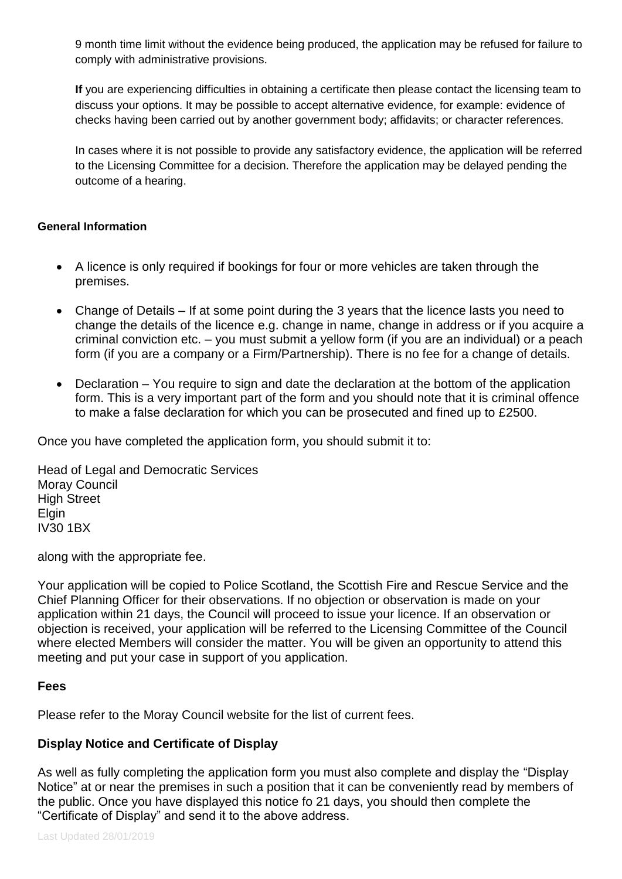9 month time limit without the evidence being produced, the application may be refused for failure to comply with administrative provisions.

**If** you are experiencing difficulties in obtaining a certificate then please contact the licensing team to discuss your options. It may be possible to accept alternative evidence, for example: evidence of checks having been carried out by another government body; affidavits; or character references.

In cases where it is not possible to provide any satisfactory evidence, the application will be referred to the Licensing Committee for a decision. Therefore the application may be delayed pending the outcome of a hearing.

#### **General Information**

- A licence is only required if bookings for four or more vehicles are taken through the premises.
- Change of Details If at some point during the 3 years that the licence lasts you need to change the details of the licence e.g. change in name, change in address or if you acquire a criminal conviction etc. – you must submit a yellow form (if you are an individual) or a peach form (if you are a company or a Firm/Partnership). There is no fee for a change of details.
- Declaration You require to sign and date the declaration at the bottom of the application form. This is a very important part of the form and you should note that it is criminal offence to make a false declaration for which you can be prosecuted and fined up to £2500.

Once you have completed the application form, you should submit it to:

Head of Legal and Democratic Services Moray Council High Street **Elgin** IV30 1BX

along with the appropriate fee.

Your application will be copied to Police Scotland, the Scottish Fire and Rescue Service and the Chief Planning Officer for their observations. If no objection or observation is made on your application within 21 days, the Council will proceed to issue your licence. If an observation or objection is received, your application will be referred to the Licensing Committee of the Council where elected Members will consider the matter. You will be given an opportunity to attend this meeting and put your case in support of you application.

#### **Fees**

Please refer to the Moray Council website for the list of current fees.

#### **Display Notice and Certificate of Display**

As well as fully completing the application form you must also complete and display the "Display Notice" at or near the premises in such a position that it can be conveniently read by members of the public. Once you have displayed this notice fo 21 days, you should then complete the "Certificate of Display" and send it to the above address.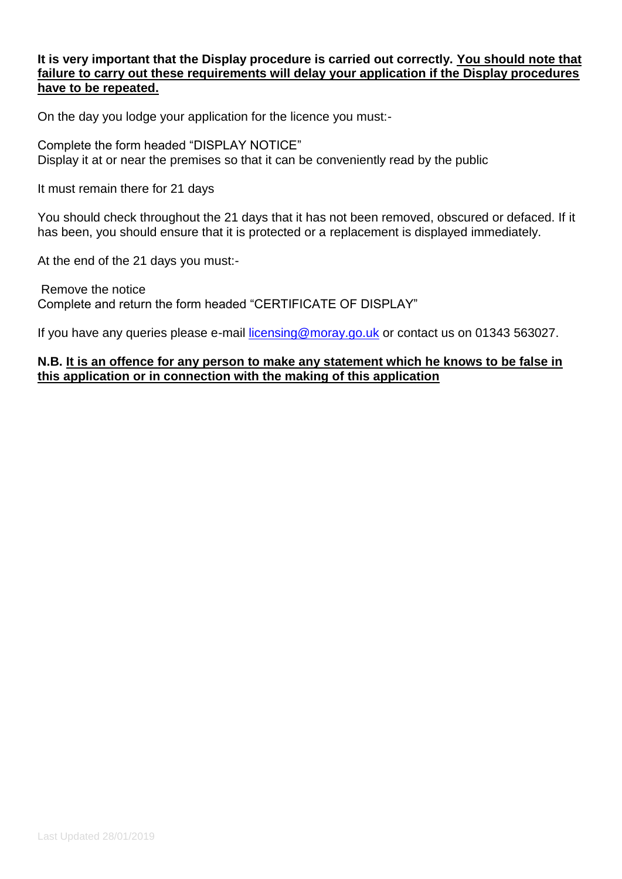#### **It is very important that the Display procedure is carried out correctly. You should note that failure to carry out these requirements will delay your application if the Display procedures have to be repeated.**

On the day you lodge your application for the licence you must:-

Complete the form headed "DISPLAY NOTICE" Display it at or near the premises so that it can be conveniently read by the public

It must remain there for 21 days

You should check throughout the 21 days that it has not been removed, obscured or defaced. If it has been, you should ensure that it is protected or a replacement is displayed immediately.

At the end of the 21 days you must:-

Remove the notice Complete and return the form headed "CERTIFICATE OF DISPLAY"

If you have any queries please e-mail [licensing@moray.go.uk](mailto:licensing@moray.go.uk) or contact us on 01343 563027.

#### **N.B. It is an offence for any person to make any statement which he knows to be false in this application or in connection with the making of this application**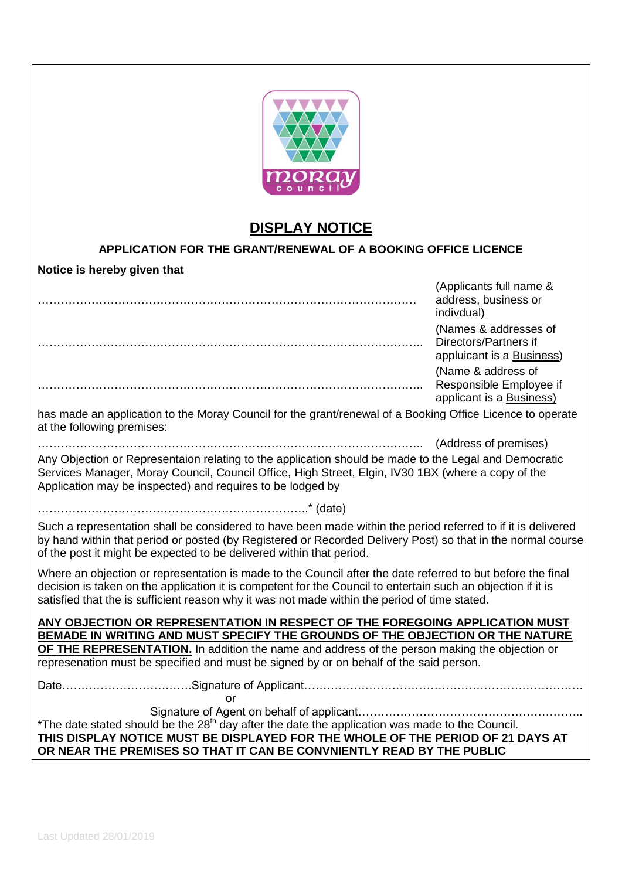

# **DISPLAY NOTICE**

## **APPLICATION FOR THE GRANT/RENEWAL OF A BOOKING OFFICE LICENCE**

**Notice is hereby given that**

|                                                                                                                                                                                                                                                                                                                                                          | (Applicants full name &<br>address, business or<br>indivdual)               |
|----------------------------------------------------------------------------------------------------------------------------------------------------------------------------------------------------------------------------------------------------------------------------------------------------------------------------------------------------------|-----------------------------------------------------------------------------|
|                                                                                                                                                                                                                                                                                                                                                          | (Names & addresses of<br>Directors/Partners if<br>appluicant is a Business) |
|                                                                                                                                                                                                                                                                                                                                                          | (Name & address of<br>Responsible Employee if<br>applicant is a Business)   |
| has made an application to the Moray Council for the grant/renewal of a Booking Office Licence to operate<br>at the following premises:                                                                                                                                                                                                                  |                                                                             |
|                                                                                                                                                                                                                                                                                                                                                          | (Address of premises)                                                       |
| Any Objection or Representaion relating to the application should be made to the Legal and Democratic<br>Services Manager, Moray Council, Council Office, High Street, Elgin, IV30 1BX (where a copy of the<br>Application may be inspected) and requires to be lodged by                                                                                |                                                                             |
|                                                                                                                                                                                                                                                                                                                                                          |                                                                             |
| Such a representation shall be considered to have been made within the period referred to if it is delivered<br>by hand within that period or posted (by Registered or Recorded Delivery Post) so that in the normal course<br>of the post it might be expected to be delivered within that period.                                                      |                                                                             |
| Where an objection or representation is made to the Council after the date referred to but before the final<br>decision is taken on the application it is competent for the Council to entertain such an objection if it is<br>satisfied that the is sufficient reason why it was not made within the period of time stated.                             |                                                                             |
| ANY OBJECTION OR REPRESENTATION IN RESPECT OF THE FOREGOING APPLICATION MUST<br>BEMADE IN WRITING AND MUST SPECIFY THE GROUNDS OF THE OBJECTION OR THE NATURE<br>OF THE REPRESENTATION. In addition the name and address of the person making the objection or<br>represenation must be specified and must be signed by or on behalf of the said person. |                                                                             |
| or                                                                                                                                                                                                                                                                                                                                                       |                                                                             |
| *The date stated should be the 28 <sup>th</sup> day after the date the application was made to the Council.<br>THIS DISPLAY NOTICE MUST BE DISPLAYED FOR THE WHOLE OF THE PERIOD OF 21 DAYS AT<br>OR NEAR THE PREMISES SO THAT IT CAN BE CONVNIENTLY READ BY THE PUBLIC                                                                                  | .                                                                           |